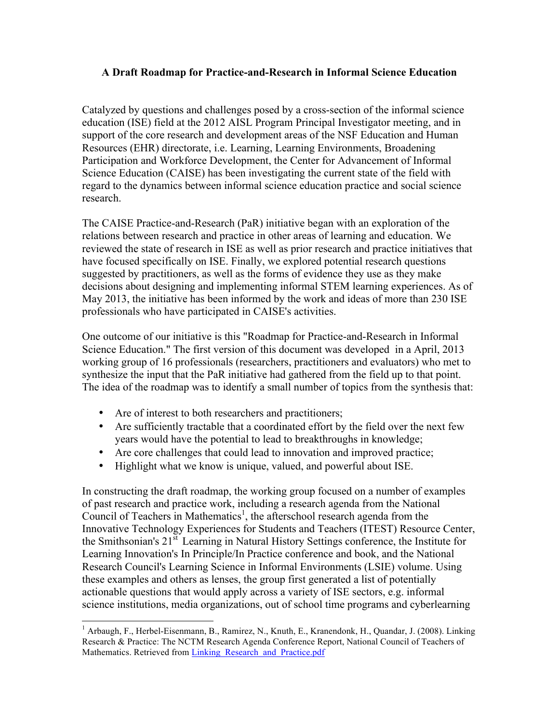## **A Draft Roadmap for Practice-and-Research in Informal Science Education**

Catalyzed by questions and challenges posed by a cross-section of the informal science education (ISE) field at the 2012 AISL Program Principal Investigator meeting, and in support of the core research and development areas of the NSF Education and Human Resources (EHR) directorate, i.e. Learning, Learning Environments, Broadening Participation and Workforce Development, the Center for Advancement of Informal Science Education (CAISE) has been investigating the current state of the field with regard to the dynamics between informal science education practice and social science research.

The CAISE Practice-and-Research (PaR) initiative began with an exploration of the relations between research and practice in other areas of learning and education. We reviewed the state of research in ISE as well as prior research and practice initiatives that have focused specifically on ISE. Finally, we explored potential research questions suggested by practitioners, as well as the forms of evidence they use as they make decisions about designing and implementing informal STEM learning experiences. As of May 2013, the initiative has been informed by the work and ideas of more than 230 ISE professionals who have participated in CAISE's activities.

One outcome of our initiative is this "Roadmap for Practice-and-Research in Informal Science Education." The first version of this document was developed in a April, 2013 working group of 16 professionals (researchers, practitioners and evaluators) who met to synthesize the input that the PaR initiative had gathered from the field up to that point. The idea of the roadmap was to identify a small number of topics from the synthesis that:

- Are of interest to both researchers and practitioners;
- Are sufficiently tractable that a coordinated effort by the field over the next few years would have the potential to lead to breakthroughs in knowledge;
- Are core challenges that could lead to innovation and improved practice;
- Highlight what we know is unique, valued, and powerful about ISE.

In constructing the draft roadmap, the working group focused on a number of examples of past research and practice work, including a research agenda from the National Council of Teachers in Mathematics<sup>1</sup>, the afterschool research agenda from the Innovative Technology Experiences for Students and Teachers (ITEST) Resource Center, the Smithsonian's 21st Learning in Natural History Settings conference, the Institute for Learning Innovation's In Principle/In Practice conference and book, and the National Research Council's Learning Science in Informal Environments (LSIE) volume. Using these examples and others as lenses, the group first generated a list of potentially actionable questions that would apply across a variety of ISE sectors, e.g. informal science institutions, media organizations, out of school time programs and cyberlearning

 <sup>1</sup> Arbaugh, F., Herbel-Eisenmann, B., Ramirez, N., Knuth, E., Kranendonk, H., Quandar, J. (2008). Linking Research & Practice: The NCTM Research Agenda Conference Report, National Council of Teachers of Mathematics. Retrieved from Linking Research and Practice.pdf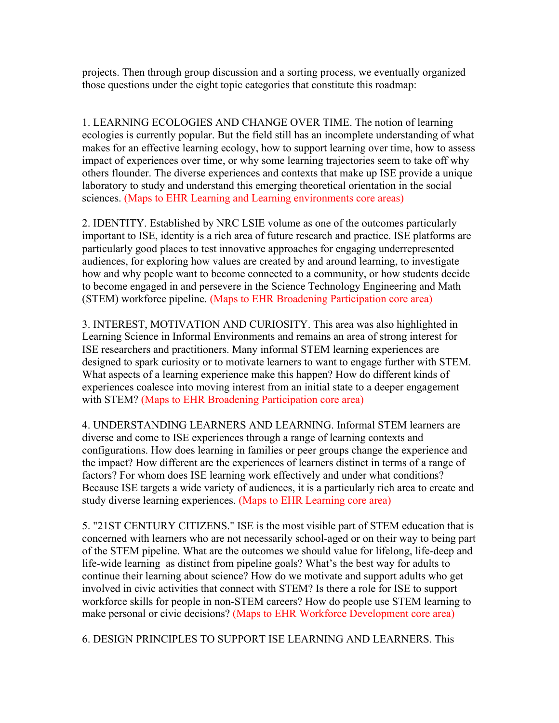projects. Then through group discussion and a sorting process, we eventually organized those questions under the eight topic categories that constitute this roadmap:

1. LEARNING ECOLOGIES AND CHANGE OVER TIME. The notion of learning ecologies is currently popular. But the field still has an incomplete understanding of what makes for an effective learning ecology, how to support learning over time, how to assess impact of experiences over time, or why some learning trajectories seem to take off why others flounder. The diverse experiences and contexts that make up ISE provide a unique laboratory to study and understand this emerging theoretical orientation in the social sciences. (Maps to EHR Learning and Learning environments core areas)

2. IDENTITY. Established by NRC LSIE volume as one of the outcomes particularly important to ISE, identity is a rich area of future research and practice. ISE platforms are particularly good places to test innovative approaches for engaging underrepresented audiences, for exploring how values are created by and around learning, to investigate how and why people want to become connected to a community, or how students decide to become engaged in and persevere in the Science Technology Engineering and Math (STEM) workforce pipeline. (Maps to EHR Broadening Participation core area)

3. INTEREST, MOTIVATION AND CURIOSITY. This area was also highlighted in Learning Science in Informal Environments and remains an area of strong interest for ISE researchers and practitioners. Many informal STEM learning experiences are designed to spark curiosity or to motivate learners to want to engage further with STEM. What aspects of a learning experience make this happen? How do different kinds of experiences coalesce into moving interest from an initial state to a deeper engagement with STEM? (Maps to EHR Broadening Participation core area)

4. UNDERSTANDING LEARNERS AND LEARNING. Informal STEM learners are diverse and come to ISE experiences through a range of learning contexts and configurations. How does learning in families or peer groups change the experience and the impact? How different are the experiences of learners distinct in terms of a range of factors? For whom does ISE learning work effectively and under what conditions? Because ISE targets a wide variety of audiences, it is a particularly rich area to create and study diverse learning experiences. (Maps to EHR Learning core area)

5. "21ST CENTURY CITIZENS." ISE is the most visible part of STEM education that is concerned with learners who are not necessarily school-aged or on their way to being part of the STEM pipeline. What are the outcomes we should value for lifelong, life-deep and life-wide learning as distinct from pipeline goals? What's the best way for adults to continue their learning about science? How do we motivate and support adults who get involved in civic activities that connect with STEM? Is there a role for ISE to support workforce skills for people in non-STEM careers? How do people use STEM learning to make personal or civic decisions? (Maps to EHR Workforce Development core area)

6. DESIGN PRINCIPLES TO SUPPORT ISE LEARNING AND LEARNERS. This